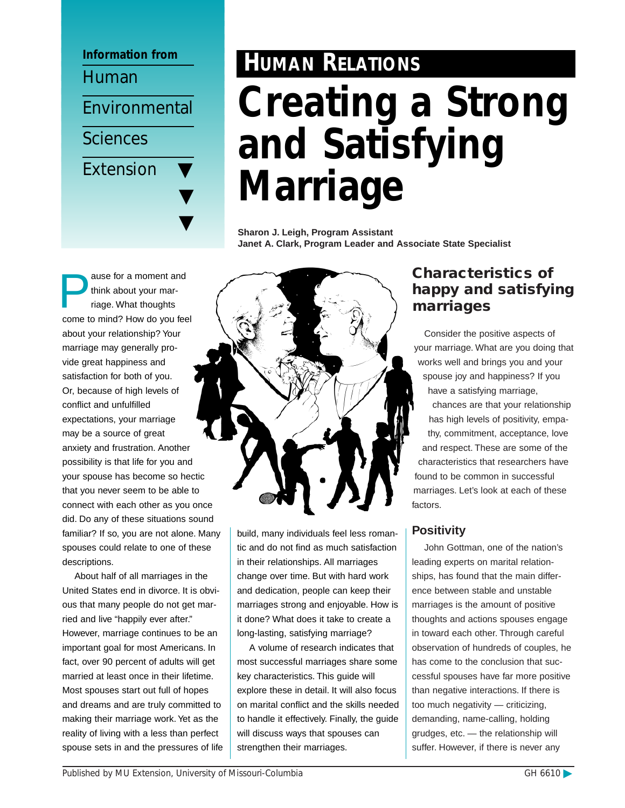

## ause for a moment and think about your marriage. What thoughts come to mind? How do you feel about your relationship? Your marriage may generally provide great happiness and satisfaction for both of you. Or, because of high levels of conflict and unfulfilled expectations, your marriage may be a source of great anxiety and frustration. Another possibility is that life for you and your spouse has become so hectic that you never seem to be able to connect with each other as you once did. Do any of these situations sound familiar? If so, you are not alone. Many spouses could relate to one of these descriptions.

About half of all marriages in the United States end in divorce. It is obvious that many people do not get married and live "happily ever after." However, marriage continues to be an important goal for most Americans. In fact, over 90 percent of adults will get married at least once in their lifetime. Most spouses start out full of hopes and dreams and are truly committed to making their marriage work. Yet as the reality of living with a less than perfect spouse sets in and the pressures of life

# **HUMAN RELATIONS Creating a Strong and Satisfying Marriage**

**Sharon J. Leigh, Program Assistant Janet A. Clark, Program Leader and Associate State Specialist**



build, many individuals feel less romantic and do not find as much satisfaction in their relationships. All marriages change over time. But with hard work and dedication, people can keep their marriages strong and enjoyable. How is it done? What does it take to create a long-lasting, satisfying marriage?

A volume of research indicates that most successful marriages share some key characteristics. This guide will explore these in detail. It will also focus on marital conflict and the skills needed to handle it effectively. Finally, the guide will discuss ways that spouses can strengthen their marriages.

# **Characteristics of happy and satisfying marriages**

Consider the positive aspects of your marriage. What are you doing that works well and brings you and your spouse joy and happiness? If you have a satisfying marriage, chances are that your relationship has high levels of positivity, empathy, commitment, acceptance, love and respect. These are some of the characteristics that researchers have found to be common in successful marriages. Let's look at each of these factors.

## **Positivity**

John Gottman, one of the nation's leading experts on marital relationships, has found that the main difference between stable and unstable marriages is the amount of positive thoughts and actions spouses engage in toward each other. Through careful observation of hundreds of couples, he has come to the conclusion that successful spouses have far more positive than negative interactions. If there is too much negativity — criticizing, demanding, name-calling, holding grudges, etc. — the relationship will suffer. However, if there is never any

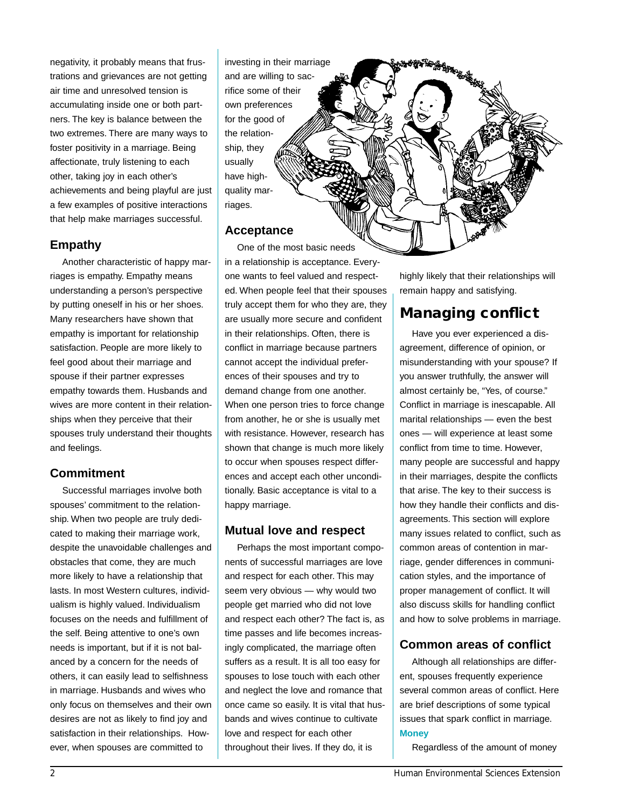negativity, it probably means that frustrations and grievances are not getting air time and unresolved tension is accumulating inside one or both partners. The key is balance between the two extremes. There are many ways to foster positivity in a marriage. Being affectionate, truly listening to each other, taking joy in each other's achievements and being playful are just a few examples of positive interactions that help make marriages successful.

## **Empathy**

Another characteristic of happy marriages is empathy. Empathy means understanding a person's perspective by putting oneself in his or her shoes. Many researchers have shown that empathy is important for relationship satisfaction. People are more likely to feel good about their marriage and spouse if their partner expresses empathy towards them. Husbands and wives are more content in their relationships when they perceive that their spouses truly understand their thoughts and feelings.

#### **Commitment**

Successful marriages involve both spouses' commitment to the relationship. When two people are truly dedicated to making their marriage work, despite the unavoidable challenges and obstacles that come, they are much more likely to have a relationship that lasts. In most Western cultures, individualism is highly valued. Individualism focuses on the needs and fulfillment of the self. Being attentive to one's own needs is important, but if it is not balanced by a concern for the needs of others, it can easily lead to selfishness in marriage. Husbands and wives who only focus on themselves and their own desires are not as likely to find joy and satisfaction in their relationships. However, when spouses are committed to

investing in their marriage and are willing to sacrifice some of their own preferences for the good of the relationship, they usually have highquality marriages.

#### **Acceptance**

One of the most basic needs in a relationship is acceptance. Everyone wants to feel valued and respected. When people feel that their spouses truly accept them for who they are, they are usually more secure and confident in their relationships. Often, there is conflict in marriage because partners cannot accept the individual preferences of their spouses and try to demand change from one another. When one person tries to force change from another, he or she is usually met with resistance. However, research has shown that change is much more likely to occur when spouses respect differences and accept each other unconditionally. Basic acceptance is vital to a happy marriage.

#### **Mutual love and respect**

Perhaps the most important components of successful marriages are love and respect for each other. This may seem very obvious - why would two people get married who did not love and respect each other? The fact is, as time passes and life becomes increasingly complicated, the marriage often suffers as a result. It is all too easy for spouses to lose touch with each other and neglect the love and romance that once came so easily. It is vital that husbands and wives continue to cultivate love and respect for each other throughout their lives. If they do, it is

highly likely that their relationships will remain happy and satisfying.

# **Managing conflict**

**OFFERTHERS** 

Have you ever experienced a disagreement, difference of opinion, or misunderstanding with your spouse? If you answer truthfully, the answer will almost certainly be, "Yes, of course." Conflict in marriage is inescapable. All marital relationships — even the best ones — will experience at least some conflict from time to time. However, many people are successful and happy in their marriages, despite the conflicts that arise. The key to their success is how they handle their conflicts and disagreements. This section will explore many issues related to conflict, such as common areas of contention in marriage, gender differences in communication styles, and the importance of proper management of conflict. It will also discuss skills for handling conflict and how to solve problems in marriage.

#### **Common areas of conflict**

Although all relationships are different, spouses frequently experience several common areas of conflict. Here are brief descriptions of some typical issues that spark conflict in marriage. **Money**

Regardless of the amount of money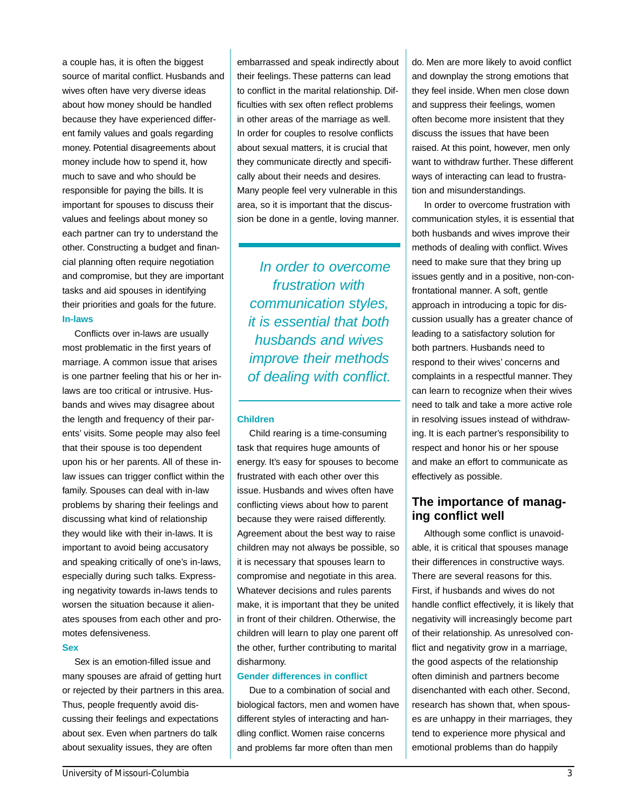a couple has, it is often the biggest source of marital conflict. Husbands and wives often have very diverse ideas about how money should be handled because they have experienced different family values and goals regarding money. Potential disagreements about money include how to spend it, how much to save and who should be responsible for paying the bills. It is important for spouses to discuss their values and feelings about money so each partner can try to understand the other. Constructing a budget and financial planning often require negotiation and compromise, but they are important tasks and aid spouses in identifying their priorities and goals for the future. **In-laws**

Conflicts over in-laws are usually most problematic in the first years of marriage. A common issue that arises is one partner feeling that his or her inlaws are too critical or intrusive. Husbands and wives may disagree about the length and frequency of their parents' visits. Some people may also feel that their spouse is too dependent upon his or her parents. All of these inlaw issues can trigger conflict within the family. Spouses can deal with in-law problems by sharing their feelings and discussing what kind of relationship they would like with their in-laws. It is important to avoid being accusatory and speaking critically of one's in-laws, especially during such talks. Expressing negativity towards in-laws tends to worsen the situation because it alienates spouses from each other and promotes defensiveness.

#### **Sex**

Sex is an emotion-filled issue and many spouses are afraid of getting hurt or rejected by their partners in this area. Thus, people frequently avoid discussing their feelings and expectations about sex. Even when partners do talk about sexuality issues, they are often

embarrassed and speak indirectly about their feelings. These patterns can lead to conflict in the marital relationship. Difficulties with sex often reflect problems in other areas of the marriage as well. In order for couples to resolve conflicts about sexual matters, it is crucial that they communicate directly and specifically about their needs and desires. Many people feel very vulnerable in this area, so it is important that the discussion be done in a gentle, loving manner.

In order to overcome frustration with communication styles, it is essential that both husbands and wives improve their methods of dealing with conflict.

#### **Children**

Child rearing is a time-consuming task that requires huge amounts of energy. It's easy for spouses to become frustrated with each other over this issue. Husbands and wives often have conflicting views about how to parent because they were raised differently. Agreement about the best way to raise children may not always be possible, so it is necessary that spouses learn to compromise and negotiate in this area. Whatever decisions and rules parents make, it is important that they be united in front of their children. Otherwise, the children will learn to play one parent off the other, further contributing to marital disharmony.

#### **Gender differences in conflict**

Due to a combination of social and biological factors, men and women have different styles of interacting and handling conflict. Women raise concerns and problems far more often than men

do. Men are more likely to avoid conflict and downplay the strong emotions that they feel inside. When men close down and suppress their feelings, women often become more insistent that they discuss the issues that have been raised. At this point, however, men only want to withdraw further. These different ways of interacting can lead to frustration and misunderstandings.

In order to overcome frustration with communication styles, it is essential that both husbands and wives improve their methods of dealing with conflict. Wives need to make sure that they bring up issues gently and in a positive, non-confrontational manner. A soft, gentle approach in introducing a topic for discussion usually has a greater chance of leading to a satisfactory solution for both partners. Husbands need to respond to their wives' concerns and complaints in a respectful manner. They can learn to recognize when their wives need to talk and take a more active role in resolving issues instead of withdrawing. It is each partner's responsibility to respect and honor his or her spouse and make an effort to communicate as effectively as possible.

## **The importance of managing conflict well**

Although some conflict is unavoidable, it is critical that spouses manage their differences in constructive ways. There are several reasons for this. First, if husbands and wives do not handle conflict effectively, it is likely that negativity will increasingly become part of their relationship. As unresolved conflict and negativity grow in a marriage, the good aspects of the relationship often diminish and partners become disenchanted with each other. Second, research has shown that, when spouses are unhappy in their marriages, they tend to experience more physical and emotional problems than do happily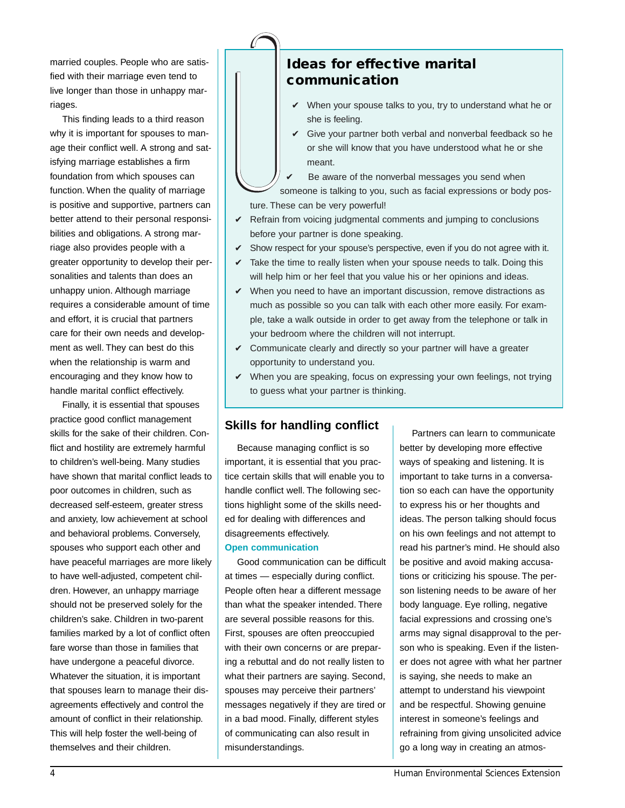married couples. People who are satisfied with their marriage even tend to live longer than those in unhappy marriages.

This finding leads to a third reason why it is important for spouses to manage their conflict well. A strong and satisfying marriage establishes a firm foundation from which spouses can function. When the quality of marriage is positive and supportive, partners can better attend to their personal responsibilities and obligations. A strong marriage also provides people with a greater opportunity to develop their personalities and talents than does an unhappy union. Although marriage requires a considerable amount of time and effort, it is crucial that partners care for their own needs and development as well. They can best do this when the relationship is warm and encouraging and they know how to handle marital conflict effectively.

Finally, it is essential that spouses practice good conflict management skills for the sake of their children. Conflict and hostility are extremely harmful to children's well-being. Many studies have shown that marital conflict leads to poor outcomes in children, such as decreased self-esteem, greater stress and anxiety, low achievement at school and behavioral problems. Conversely, spouses who support each other and have peaceful marriages are more likely to have well-adjusted, competent children. However, an unhappy marriage should not be preserved solely for the children's sake. Children in two-parent families marked by a lot of conflict often fare worse than those in families that have undergone a peaceful divorce. Whatever the situation, it is important that spouses learn to manage their disagreements effectively and control the amount of conflict in their relationship. This will help foster the well-being of themselves and their children.

# **Ideas for effective marital communication**

- $\checkmark$  When your spouse talks to you, try to understand what he or she is feeling.
- $\checkmark$  Give your partner both verbal and nonverbal feedback so he or she will know that you have understood what he or she meant.

Be aware of the nonverbal messages you send when someone is talking to you, such as facial expressions or body posture. These can be very powerful!

- $\checkmark$  Refrain from voicing judgmental comments and jumping to conclusions before your partner is done speaking.
- $\checkmark$  Show respect for your spouse's perspective, even if you do not agree with it.
- $\checkmark$  Take the time to really listen when your spouse needs to talk. Doing this will help him or her feel that you value his or her opinions and ideas.
- $\checkmark$  When you need to have an important discussion, remove distractions as much as possible so you can talk with each other more easily. For example, take a walk outside in order to get away from the telephone or talk in your bedroom where the children will not interrupt.
- $\checkmark$  Communicate clearly and directly so your partner will have a greater opportunity to understand you.
- $\checkmark$  When you are speaking, focus on expressing your own feelings, not trying to guess what your partner is thinking.

## **Skills for handling conflict**

Because managing conflict is so important, it is essential that you practice certain skills that will enable you to handle conflict well. The following sections highlight some of the skills needed for dealing with differences and disagreements effectively.

#### **Open communication**

Good communication can be difficult at times — especially during conflict. People often hear a different message than what the speaker intended. There are several possible reasons for this. First, spouses are often preoccupied with their own concerns or are preparing a rebuttal and do not really listen to what their partners are saying. Second, spouses may perceive their partners' messages negatively if they are tired or in a bad mood. Finally, different styles of communicating can also result in misunderstandings.

Partners can learn to communicate better by developing more effective ways of speaking and listening. It is important to take turns in a conversation so each can have the opportunity to express his or her thoughts and ideas. The person talking should focus on his own feelings and not attempt to read his partner's mind. He should also be positive and avoid making accusations or criticizing his spouse. The person listening needs to be aware of her body language. Eye rolling, negative facial expressions and crossing one's arms may signal disapproval to the person who is speaking. Even if the listener does not agree with what her partner is saying, she needs to make an attempt to understand his viewpoint and be respectful. Showing genuine interest in someone's feelings and refraining from giving unsolicited advice go a long way in creating an atmos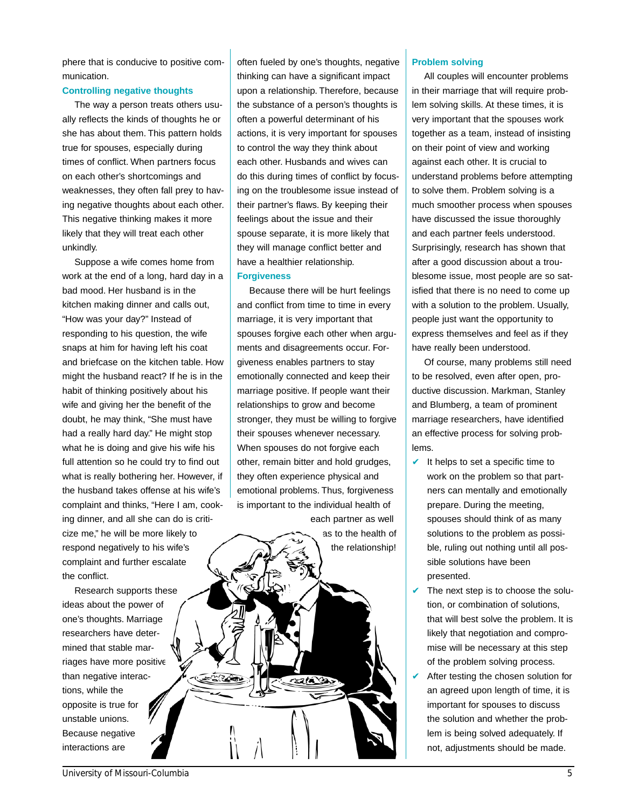phere that is conducive to positive communication.

#### **Controlling negative thoughts**

The way a person treats others usually reflects the kinds of thoughts he or she has about them. This pattern holds true for spouses, especially during times of conflict. When partners focus on each other's shortcomings and weaknesses, they often fall prey to having negative thoughts about each other. This negative thinking makes it more likely that they will treat each other unkindly.

Suppose a wife comes home from work at the end of a long, hard day in a bad mood. Her husband is in the kitchen making dinner and calls out, "How was your day?" Instead of responding to his question, the wife snaps at him for having left his coat and briefcase on the kitchen table. How might the husband react? If he is in the habit of thinking positively about his wife and giving her the benefit of the doubt, he may think, "She must have had a really hard day." He might stop what he is doing and give his wife his full attention so he could try to find out what is really bothering her. However, if the husband takes offense at his wife's complaint and thinks, "Here I am, cooking dinner, and all she can do is criticize me," he will be more likely to respond negatively to his wife's complaint and further escalate the conflict.

Research supports these ideas about the power of one's thoughts. Marriage researchers have determined that stable marriages have more positive than negative interactions, while the opposite is true for unstable unions. Because negative interactions are

often fueled by one's thoughts, negative thinking can have a significant impact upon a relationship. Therefore, because the substance of a person's thoughts is often a powerful determinant of his actions, it is very important for spouses to control the way they think about each other. Husbands and wives can do this during times of conflict by focusing on the troublesome issue instead of their partner's flaws. By keeping their feelings about the issue and their spouse separate, it is more likely that they will manage conflict better and have a healthier relationship.

#### **Forgiveness**

Because there will be hurt feelings and conflict from time to time in every marriage, it is very important that spouses forgive each other when arguments and disagreements occur. Forgiveness enables partners to stay emotionally connected and keep their marriage positive. If people want their relationships to grow and become stronger, they must be willing to forgive their spouses whenever necessary. When spouses do not forgive each other, remain bitter and hold grudges, they often experience physical and emotional problems. Thus, forgiveness is important to the individual health of



#### **Problem solving**

All couples will encounter problems in their marriage that will require problem solving skills. At these times, it is very important that the spouses work together as a team, instead of insisting on their point of view and working against each other. It is crucial to understand problems before attempting to solve them. Problem solving is a much smoother process when spouses have discussed the issue thoroughly and each partner feels understood. Surprisingly, research has shown that after a good discussion about a troublesome issue, most people are so satisfied that there is no need to come up with a solution to the problem. Usually, people just want the opportunity to express themselves and feel as if they have really been understood.

Of course, many problems still need to be resolved, even after open, productive discussion. Markman, Stanley and Blumberg, a team of prominent marriage researchers, have identified an effective process for solving problems.

- $\vee$  It helps to set a specific time to work on the problem so that partners can mentally and emotionally prepare. During the meeting, spouses should think of as many solutions to the problem as possible, ruling out nothing until all possible solutions have been presented.
- $\vee$  The next step is to choose the solution, or combination of solutions, that will best solve the problem. It is likely that negotiation and compromise will be necessary at this step of the problem solving process.
- $\vee$  After testing the chosen solution for an agreed upon length of time, it is important for spouses to discuss the solution and whether the problem is being solved adequately. If not, adjustments should be made.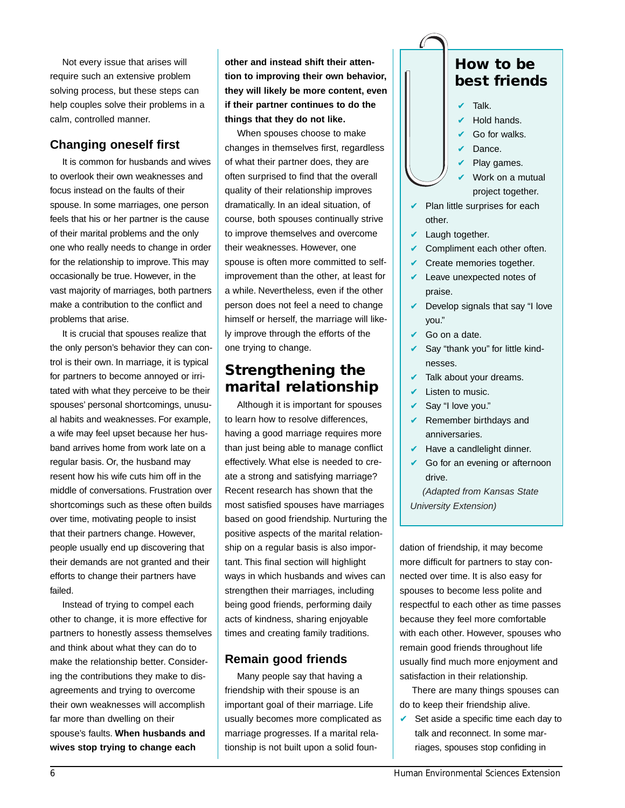Not every issue that arises will require such an extensive problem solving process, but these steps can help couples solve their problems in a calm, controlled manner.

## **Changing oneself first**

It is common for husbands and wives to overlook their own weaknesses and focus instead on the faults of their spouse. In some marriages, one person feels that his or her partner is the cause of their marital problems and the only one who really needs to change in order for the relationship to improve. This may occasionally be true. However, in the vast majority of marriages, both partners make a contribution to the conflict and problems that arise.

It is crucial that spouses realize that the only person's behavior they can control is their own. In marriage, it is typical for partners to become annoyed or irritated with what they perceive to be their spouses' personal shortcomings, unusual habits and weaknesses. For example, a wife may feel upset because her husband arrives home from work late on a regular basis. Or, the husband may resent how his wife cuts him off in the middle of conversations. Frustration over shortcomings such as these often builds over time, motivating people to insist that their partners change. However, people usually end up discovering that their demands are not granted and their efforts to change their partners have failed.

Instead of trying to compel each other to change, it is more effective for partners to honestly assess themselves and think about what they can do to make the relationship better. Considering the contributions they make to disagreements and trying to overcome their own weaknesses will accomplish far more than dwelling on their spouse's faults. **When husbands and wives stop trying to change each**

**other and instead shift their attention to improving their own behavior, they will likely be more content, even if their partner continues to do the things that they do not like.**

When spouses choose to make changes in themselves first, regardless of what their partner does, they are often surprised to find that the overall quality of their relationship improves dramatically. In an ideal situation, of course, both spouses continually strive to improve themselves and overcome their weaknesses. However, one spouse is often more committed to selfimprovement than the other, at least for a while. Nevertheless, even if the other person does not feel a need to change himself or herself, the marriage will likely improve through the efforts of the one trying to change.

# **Strengthening the marital relationship**

Although it is important for spouses to learn how to resolve differences, having a good marriage requires more than just being able to manage conflict effectively. What else is needed to create a strong and satisfying marriage? Recent research has shown that the most satisfied spouses have marriages based on good friendship. Nurturing the positive aspects of the marital relationship on a regular basis is also important. This final section will highlight ways in which husbands and wives can strengthen their marriages, including being good friends, performing daily acts of kindness, sharing enjoyable times and creating family traditions.

## **Remain good friends**

Many people say that having a friendship with their spouse is an important goal of their marriage. Life usually becomes more complicated as marriage progresses. If a marital relationship is not built upon a solid foun-

# **How to be best friends**

- Talk.
- Hold hands.
- $\vee$  Go for walks.
- ✔ Dance.
- Play games.
- Work on a mutual project together.
- $\vee$  Plan little surprises for each other.
- $\vee$  Laugh together.
- $\vee$  Compliment each other often.
- $\vee$  Create memories together.
- $\vee$  Leave unexpected notes of praise.
- $\vee$  Develop signals that say "I love you."
- $\vee$  Go on a date.
- $\vee$  Say "thank you" for little kindnesses.
- Talk about your dreams.
- $\mathcal V$  Listen to music.
- ✔ Say "I love you."
- $\vee$  Remember birthdays and anniversaries.
- $\blacktriangleright$  Have a candlelight dinner.
- $\vee$  Go for an evening or afternoon drive.

(Adapted from Kansas State University Extension)

dation of friendship, it may become more difficult for partners to stay connected over time. It is also easy for spouses to become less polite and respectful to each other as time passes because they feel more comfortable with each other. However, spouses who remain good friends throughout life usually find much more enjoyment and satisfaction in their relationship.

There are many things spouses can do to keep their friendship alive.

 $\vee$  Set aside a specific time each day to talk and reconnect. In some marriages, spouses stop confiding in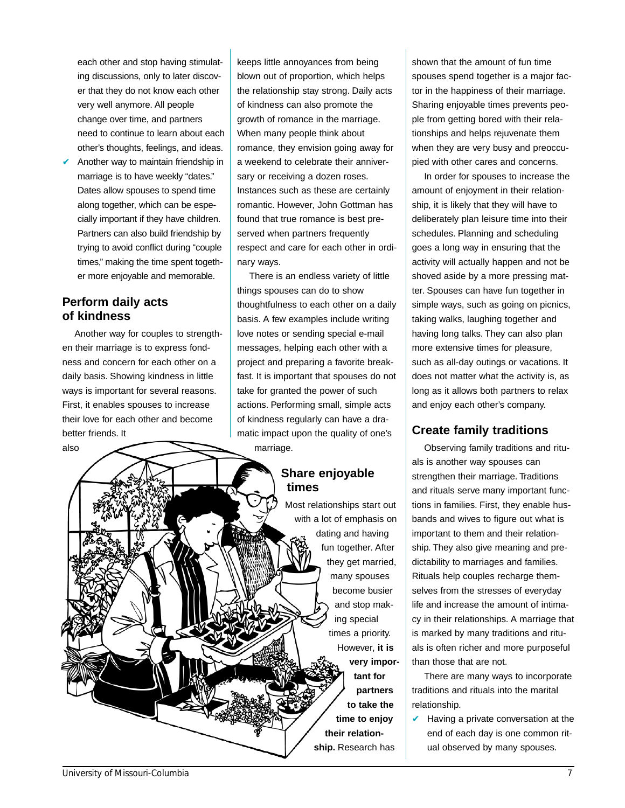each other and stop having stimulating discussions, only to later discover that they do not know each other very well anymore. All people change over time, and partners need to continue to learn about each other's thoughts, feelings, and ideas.

Another way to maintain friendship in marriage is to have weekly "dates." Dates allow spouses to spend time along together, which can be especially important if they have children. Partners can also build friendship by trying to avoid conflict during "couple times," making the time spent together more enjoyable and memorable.

### **Perform daily acts of kindness**

Another way for couples to strengthen their marriage is to express fondness and concern for each other on a daily basis. Showing kindness in little ways is important for several reasons. First, it enables spouses to increase their love for each other and become better friends. It also

keeps little annoyances from being blown out of proportion, which helps the relationship stay strong. Daily acts of kindness can also promote the growth of romance in the marriage. When many people think about romance, they envision going away for a weekend to celebrate their anniversary or receiving a dozen roses. Instances such as these are certainly romantic. However, John Gottman has found that true romance is best preserved when partners frequently respect and care for each other in ordinary ways.

There is an endless variety of little things spouses can do to show thoughtfulness to each other on a daily basis. A few examples include writing love notes or sending special e-mail messages, helping each other with a project and preparing a favorite breakfast. It is important that spouses do not take for granted the power of such actions. Performing small, simple acts of kindness regularly can have a dramatic impact upon the quality of one's marriage.

## **Share enjoyable times**

Most relationships start out with a lot of emphasis on dating and having fun together. After they get married, many spouses become busier and stop making special times a priority. However, **it is very important for partners to take the time to enjoy their relationship.** Research has

shown that the amount of fun time spouses spend together is a major factor in the happiness of their marriage. Sharing enjoyable times prevents people from getting bored with their relationships and helps rejuvenate them when they are very busy and preoccupied with other cares and concerns.

In order for spouses to increase the amount of enjoyment in their relationship, it is likely that they will have to deliberately plan leisure time into their schedules. Planning and scheduling goes a long way in ensuring that the activity will actually happen and not be shoved aside by a more pressing matter. Spouses can have fun together in simple ways, such as going on picnics, taking walks, laughing together and having long talks. They can also plan more extensive times for pleasure, such as all-day outings or vacations. It does not matter what the activity is, as long as it allows both partners to relax and enjoy each other's company.

## **Create family traditions**

Observing family traditions and rituals is another way spouses can strengthen their marriage. Traditions and rituals serve many important functions in families. First, they enable husbands and wives to figure out what is important to them and their relationship. They also give meaning and predictability to marriages and families. Rituals help couples recharge themselves from the stresses of everyday life and increase the amount of intimacy in their relationships. A marriage that is marked by many traditions and rituals is often richer and more purposeful than those that are not.

There are many ways to incorporate traditions and rituals into the marital relationship.

 $\vee$  Having a private conversation at the end of each day is one common ritual observed by many spouses.